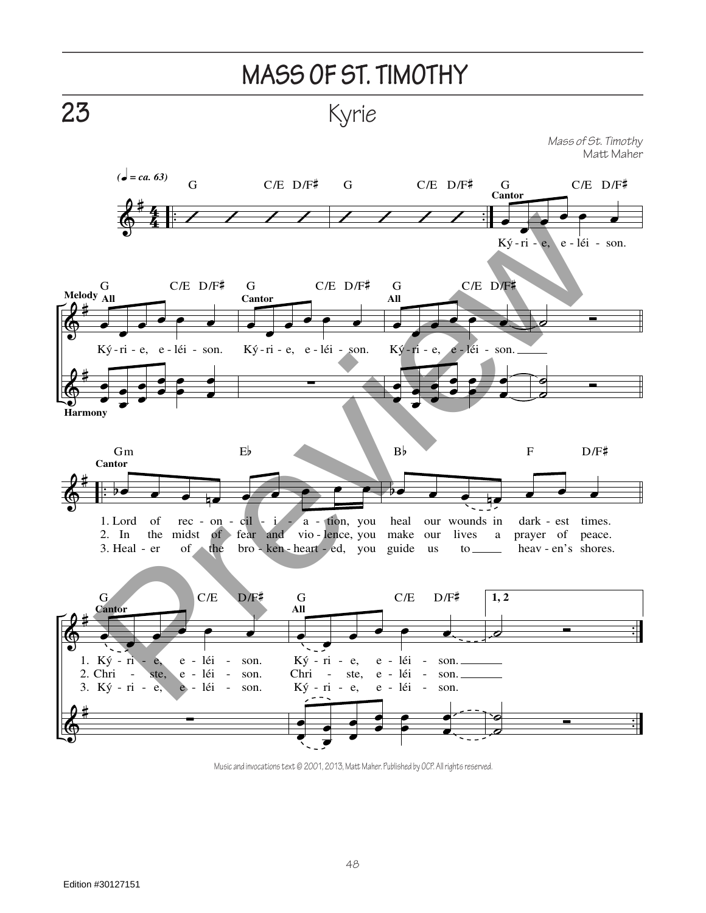

Music and invocations text © 2001, 2013, Matt Maher. Published by OCP. All rights reserved.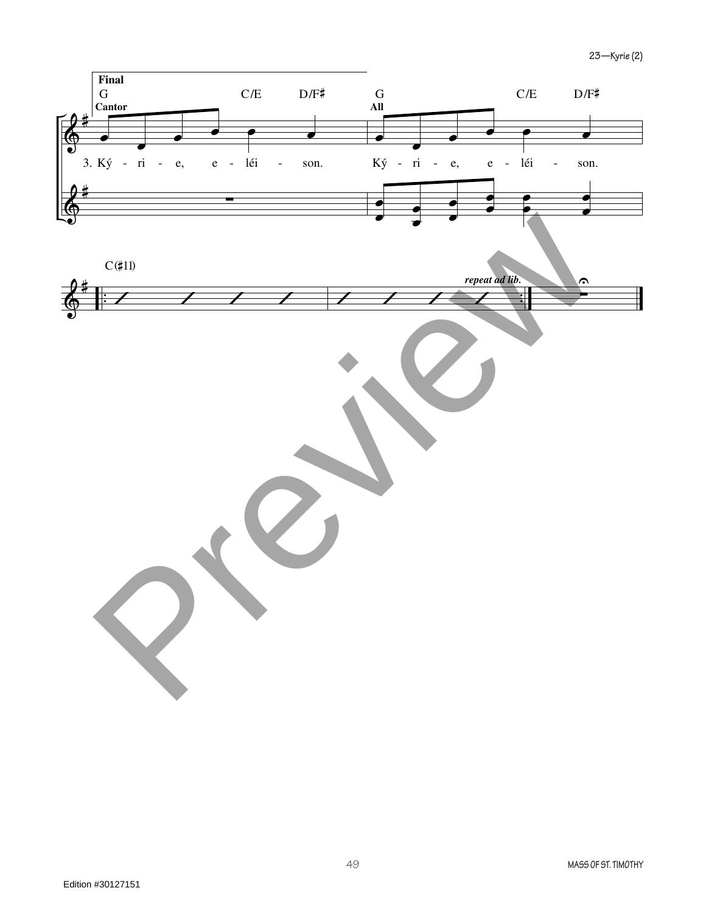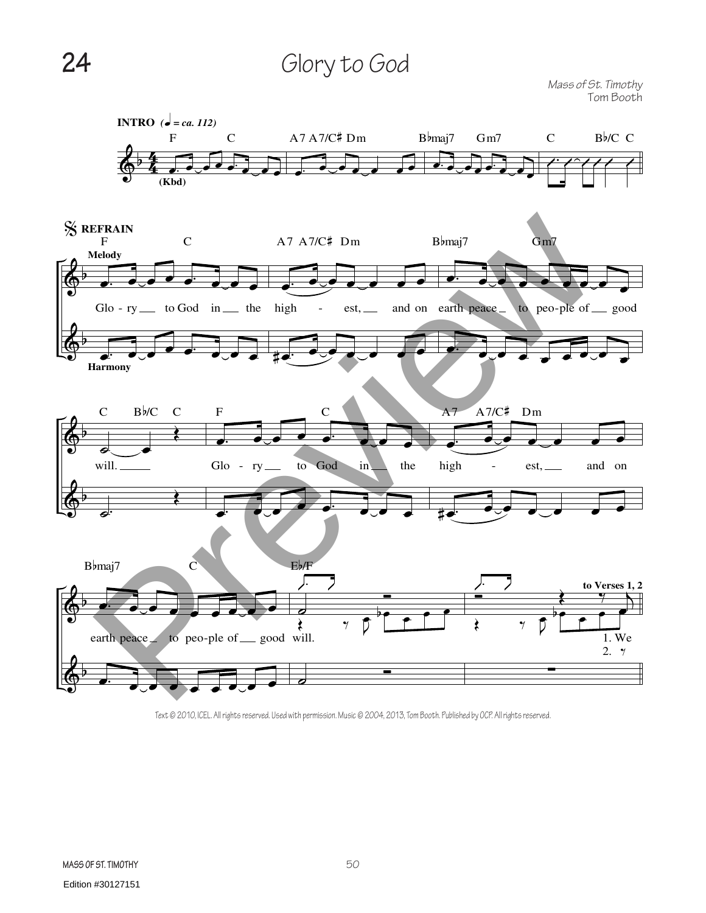## 24 Glory to God

*Mass of St. Timothy* Tom Booth



Text © 2010, ICEL. All rights reserved. Used with permission. Music © 2004, 2013, Tom Booth. Published by OCP. All rights reserved.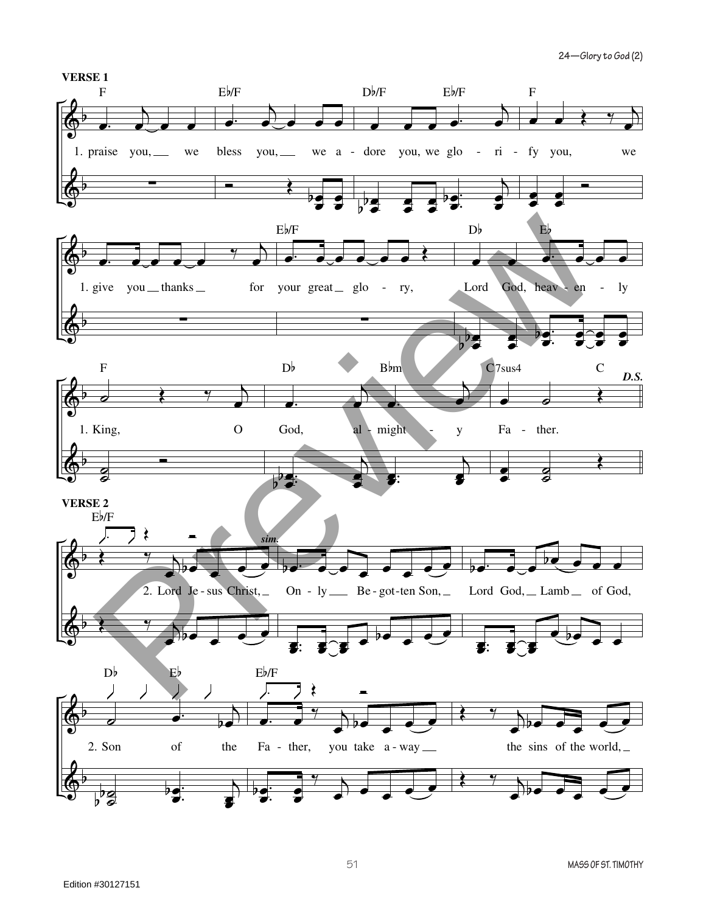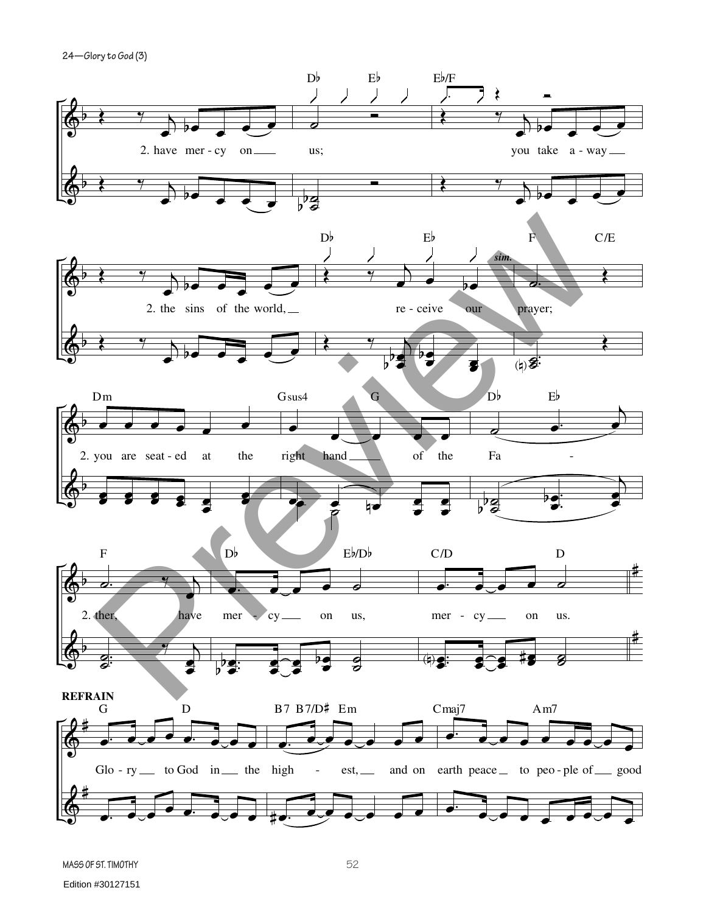**24—Glory to God (3)**

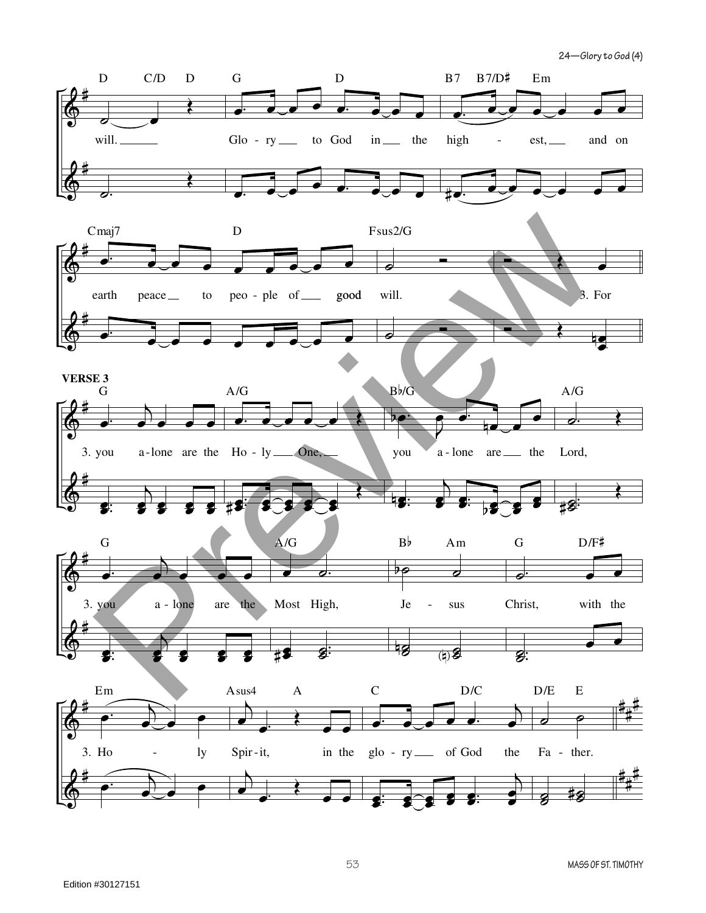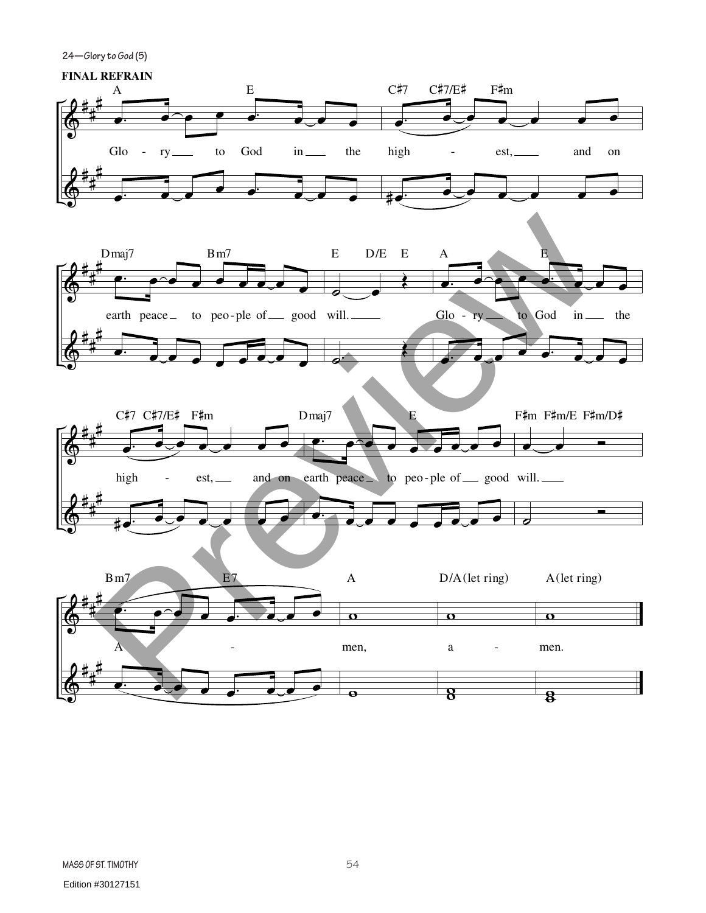**24—Glory to God (5)**

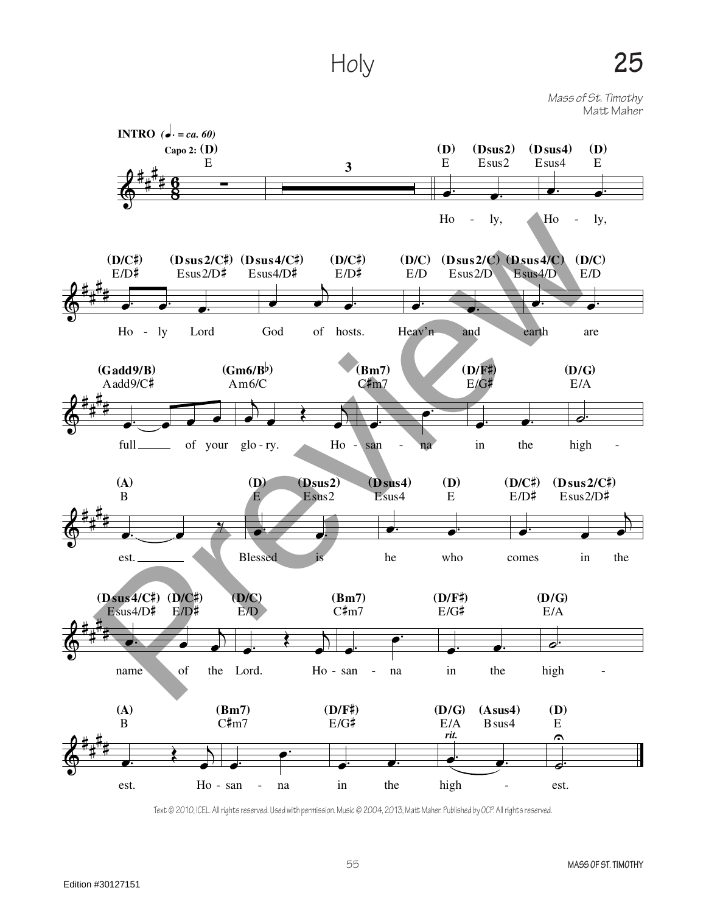Holy

Mass of St. Timothy Matt Maher



Text © 2010, ICEL. All rights reserved. Used with permission. Music © 2004, 2013, Matt Maher. Published by OCP. All rights reserved.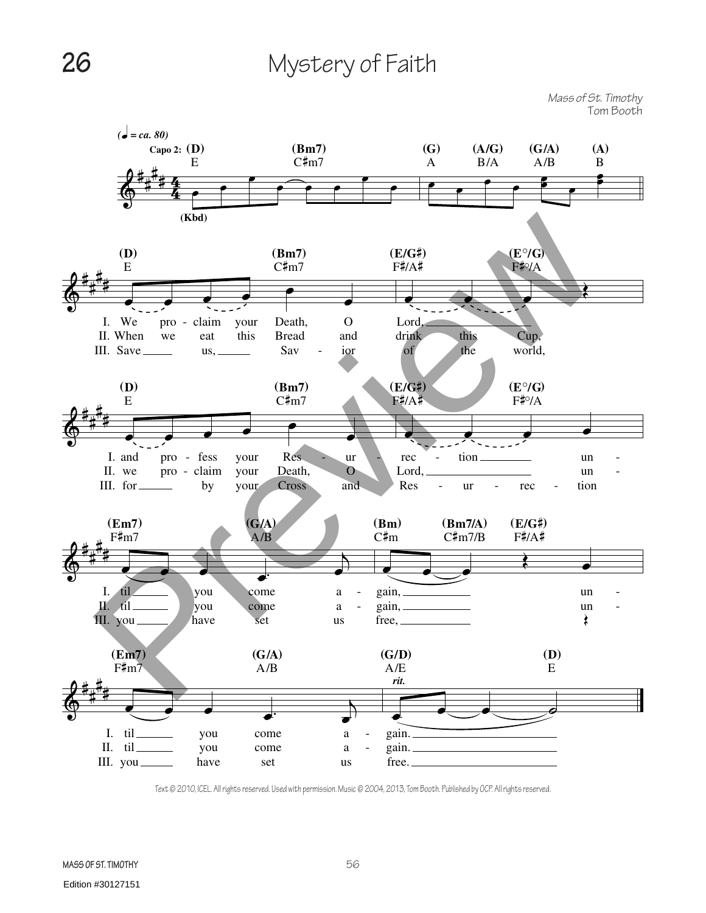## **26** Mystery of Faith

*Mass of St. Timothy* Tom Booth



Text © 2010, ICEL. All rights reserved. Used with permission. Music © 2004, 2013, Tom Booth. Published by OCP. All rights reserved.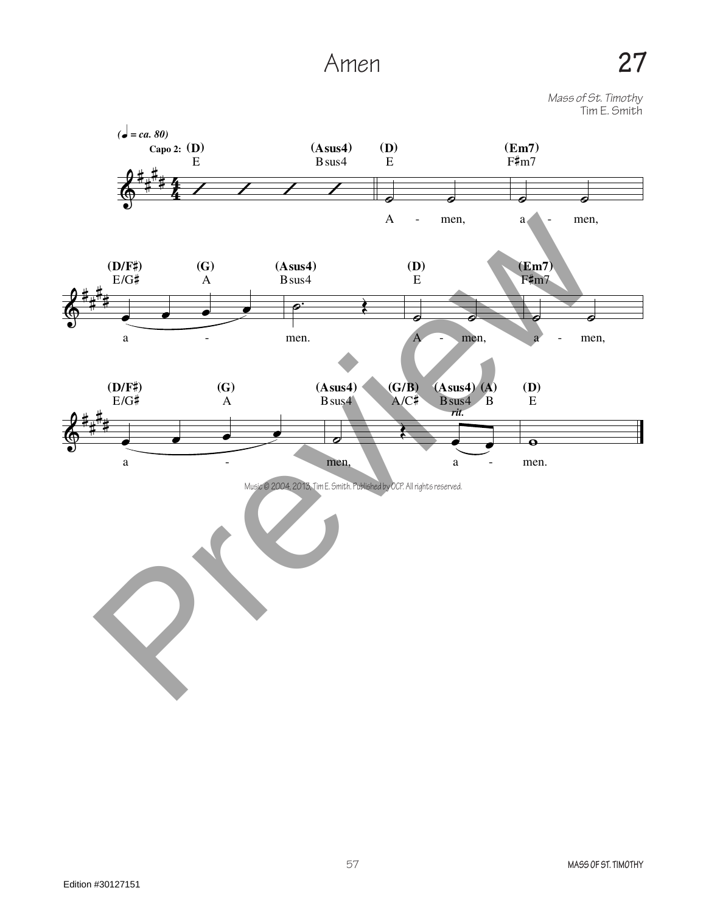## Amen **27**

*Mass of St. Timothy*

Tim E. Smith

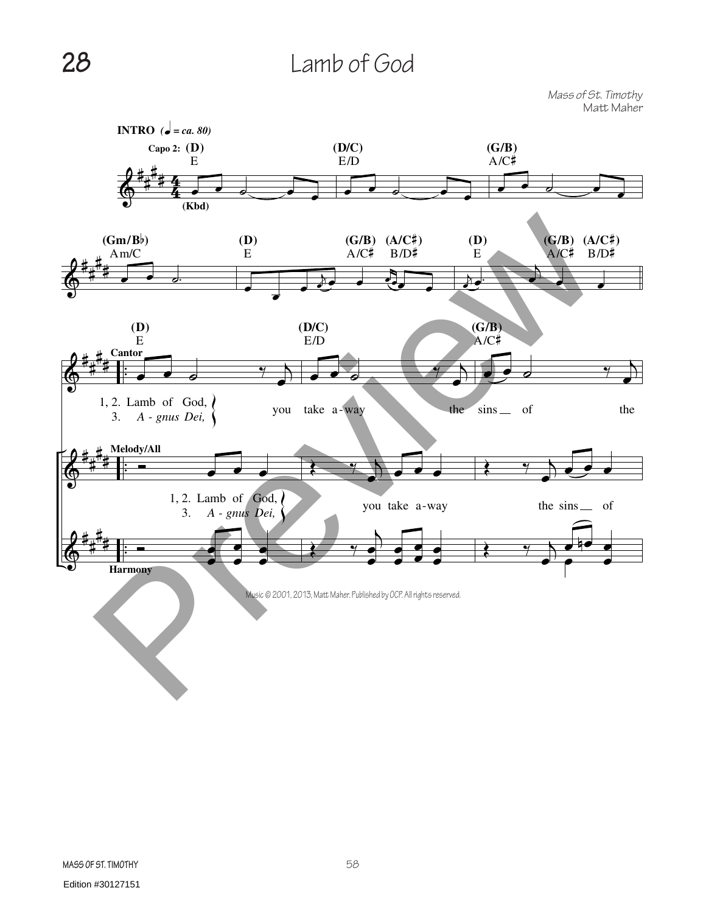## **28** Lamb of God

*Mass of St. Timothy* Matt Maher